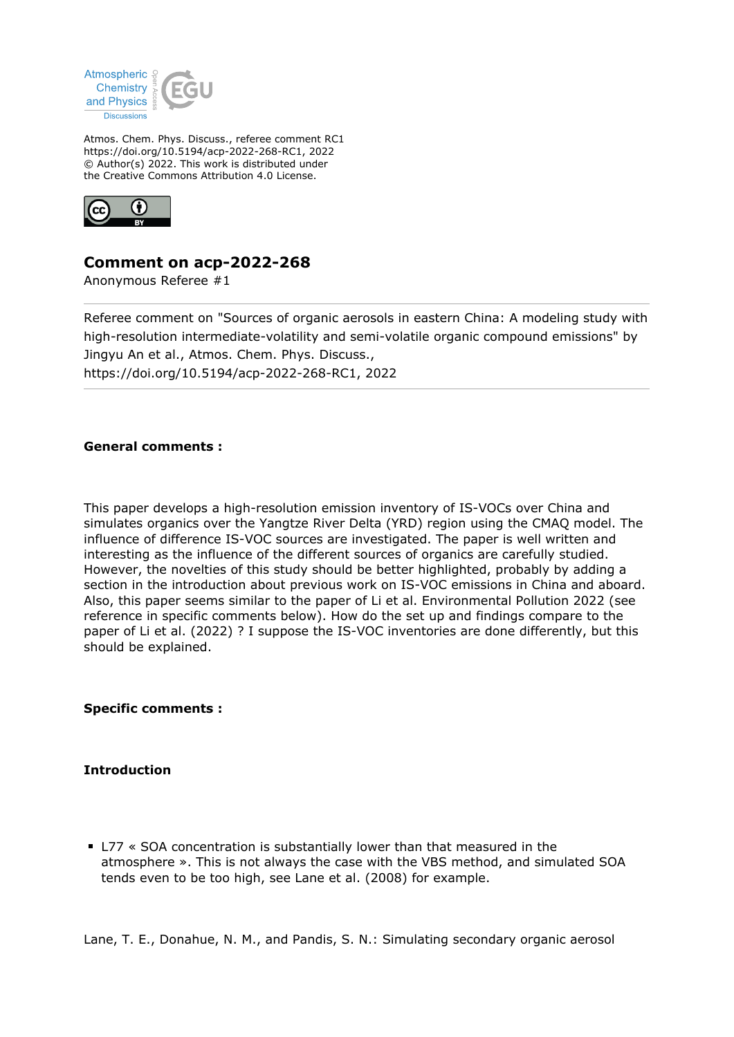

Atmos. Chem. Phys. Discuss., referee comment RC1 https://doi.org/10.5194/acp-2022-268-RC1, 2022 © Author(s) 2022. This work is distributed under the Creative Commons Attribution 4.0 License.



# **Comment on acp-2022-268**

Anonymous Referee #1

Referee comment on "Sources of organic aerosols in eastern China: A modeling study with high-resolution intermediate-volatility and semi-volatile organic compound emissions" by Jingyu An et al., Atmos. Chem. Phys. Discuss., https://doi.org/10.5194/acp-2022-268-RC1, 2022

### **General comments :**

This paper develops a high-resolution emission inventory of IS-VOCs over China and simulates organics over the Yangtze River Delta (YRD) region using the CMAQ model. The influence of difference IS-VOC sources are investigated. The paper is well written and interesting as the influence of the different sources of organics are carefully studied. However, the novelties of this study should be better highlighted, probably by adding a section in the introduction about previous work on IS-VOC emissions in China and aboard. Also, this paper seems similar to the paper of Li et al. Environmental Pollution 2022 (see reference in specific comments below). How do the set up and findings compare to the paper of Li et al. (2022) ? I suppose the IS-VOC inventories are done differently, but this should be explained.

**Specific comments :**

## **Introduction**

L77 « SOA concentration is substantially lower than that measured in the atmosphere ». This is not always the case with the VBS method, and simulated SOA tends even to be too high, see Lane et al. (2008) for example.

Lane, T. E., Donahue, N. M., and Pandis, S. N.: Simulating secondary organic aerosol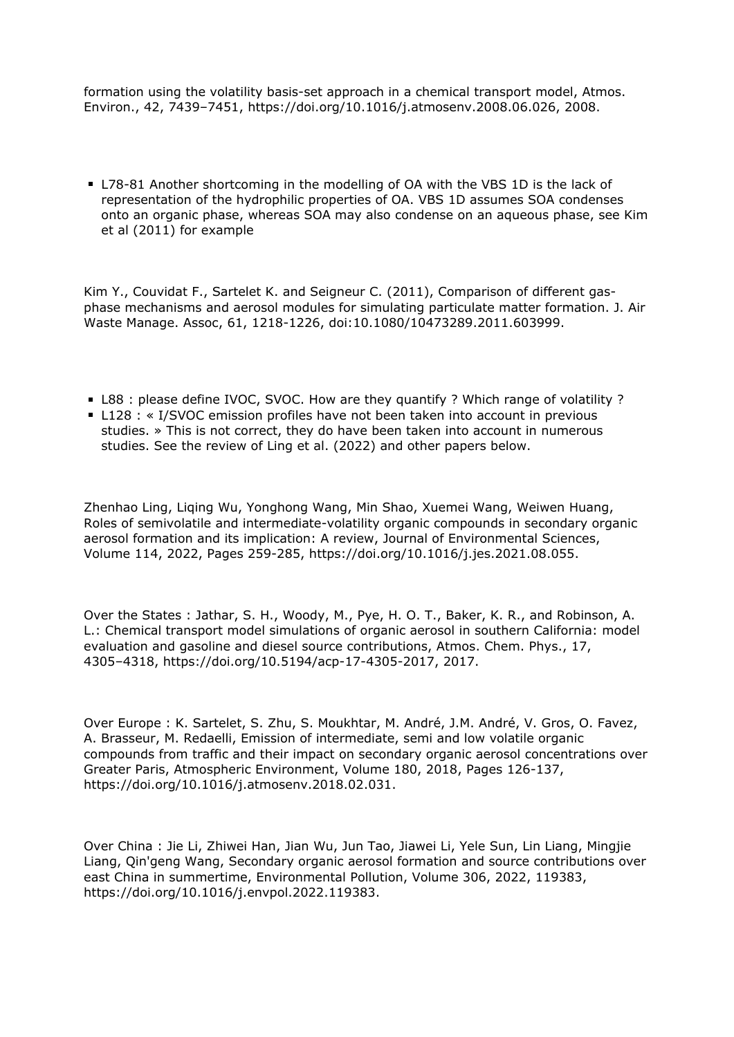formation using the volatility basis-set approach in a chemical transport model, Atmos. Environ., 42, 7439–7451, https://doi.org/10.1016/j.atmosenv.2008.06.026, 2008.

L78-81 Another shortcoming in the modelling of OA with the VBS 1D is the lack of representation of the hydrophilic properties of OA. VBS 1D assumes SOA condenses onto an organic phase, whereas SOA may also condense on an aqueous phase, see Kim et al (2011) for example

Kim Y., Couvidat F., Sartelet K. and Seigneur C. (2011), Comparison of different gasphase mechanisms and aerosol modules for simulating particulate matter formation. J. Air Waste Manage. Assoc, 61, 1218-1226, doi:10.1080/10473289.2011.603999.

- L88 : please define IVOC, SVOC. How are they quantify ? Which range of volatility ?
- L128 : « I/SVOC emission profiles have not been taken into account in previous studies. » This is not correct, they do have been taken into account in numerous studies. See the review of Ling et al. (2022) and other papers below.

Zhenhao Ling, Liqing Wu, Yonghong Wang, Min Shao, Xuemei Wang, Weiwen Huang, Roles of semivolatile and intermediate-volatility organic compounds in secondary organic aerosol formation and its implication: A review, Journal of Environmental Sciences, Volume 114, 2022, Pages 259-285, https://doi.org/10.1016/j.jes.2021.08.055.

Over the States : Jathar, S. H., Woody, M., Pye, H. O. T., Baker, K. R., and Robinson, A. L.: Chemical transport model simulations of organic aerosol in southern California: model evaluation and gasoline and diesel source contributions, Atmos. Chem. Phys., 17, 4305–4318, https://doi.org/10.5194/acp-17-4305-2017, 2017.

Over Europe : K. Sartelet, S. Zhu, S. Moukhtar, M. André, J.M. André, V. Gros, O. Favez, A. Brasseur, M. Redaelli, Emission of intermediate, semi and low volatile organic compounds from traffic and their impact on secondary organic aerosol concentrations over Greater Paris, Atmospheric Environment, Volume 180, 2018, Pages 126-137, https://doi.org/10.1016/j.atmosenv.2018.02.031.

Over China : Jie Li, Zhiwei Han, Jian Wu, Jun Tao, Jiawei Li, Yele Sun, Lin Liang, Mingjie Liang, Qin'geng Wang, Secondary organic aerosol formation and source contributions over east China in summertime, Environmental Pollution, Volume 306, 2022, 119383, https://doi.org/10.1016/j.envpol.2022.119383.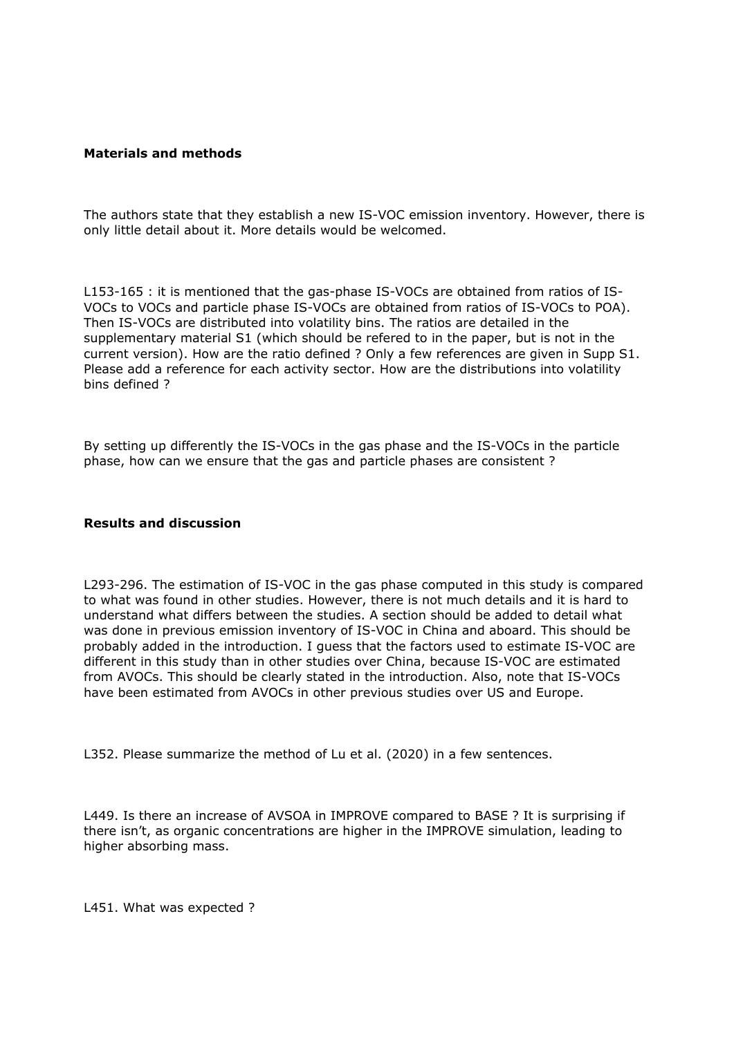#### **Materials and methods**

The authors state that they establish a new IS-VOC emission inventory. However, there is only little detail about it. More details would be welcomed.

L153-165 : it is mentioned that the gas-phase IS-VOCs are obtained from ratios of IS-VOCs to VOCs and particle phase IS-VOCs are obtained from ratios of IS-VOCs to POA). Then IS-VOCs are distributed into volatility bins. The ratios are detailed in the supplementary material S1 (which should be refered to in the paper, but is not in the current version). How are the ratio defined ? Only a few references are given in Supp S1. Please add a reference for each activity sector. How are the distributions into volatility bins defined ?

By setting up differently the IS-VOCs in the gas phase and the IS-VOCs in the particle phase, how can we ensure that the gas and particle phases are consistent ?

#### **Results and discussion**

L293-296. The estimation of IS-VOC in the gas phase computed in this study is compared to what was found in other studies. However, there is not much details and it is hard to understand what differs between the studies. A section should be added to detail what was done in previous emission inventory of IS-VOC in China and aboard. This should be probably added in the introduction. I guess that the factors used to estimate IS-VOC are different in this study than in other studies over China, because IS-VOC are estimated from AVOCs. This should be clearly stated in the introduction. Also, note that IS-VOCs have been estimated from AVOCs in other previous studies over US and Europe.

L352. Please summarize the method of Lu et al. (2020) in a few sentences.

L449. Is there an increase of AVSOA in IMPROVE compared to BASE ? It is surprising if there isn't, as organic concentrations are higher in the IMPROVE simulation, leading to higher absorbing mass.

L451. What was expected ?